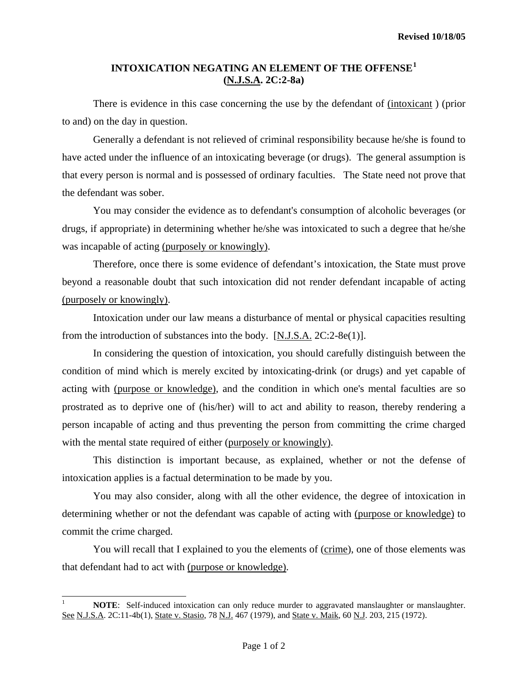## **INTOXICATION NEGATING AN ELEMENT OF THE OFFENSE[1](#page-0-0) (N.J.S.A. 2C:2-8a)**

There is evidence in this case concerning the use by the defendant of  $(intoxicant)$  (prior to and) on the day in question.

 Generally a defendant is not relieved of criminal responsibility because he/she is found to have acted under the influence of an intoxicating beverage (or drugs). The general assumption is that every person is normal and is possessed of ordinary faculties. The State need not prove that the defendant was sober.

 You may consider the evidence as to defendant's consumption of alcoholic beverages (or drugs, if appropriate) in determining whether he/she was intoxicated to such a degree that he/she was incapable of acting (purposely or knowingly).

 Therefore, once there is some evidence of defendant's intoxication, the State must prove beyond a reasonable doubt that such intoxication did not render defendant incapable of acting (purposely or knowingly).

 Intoxication under our law means a disturbance of mental or physical capacities resulting from the introduction of substances into the body. [N.J.S.A. 2C:2-8e(1)].

 In considering the question of intoxication, you should carefully distinguish between the condition of mind which is merely excited by intoxicating-drink (or drugs) and yet capable of acting with (purpose or knowledge), and the condition in which one's mental faculties are so prostrated as to deprive one of (his/her) will to act and ability to reason, thereby rendering a person incapable of acting and thus preventing the person from committing the crime charged with the mental state required of either (purposely or knowingly).

 This distinction is important because, as explained, whether or not the defense of intoxication applies is a factual determination to be made by you.

 You may also consider, along with all the other evidence, the degree of intoxication in determining whether or not the defendant was capable of acting with (purpose or knowledge) to commit the crime charged.

You will recall that I explained to you the elements of (crime), one of those elements was that defendant had to act with (purpose or knowledge).

 $\overline{a}$ 

<span id="page-0-0"></span><sup>1</sup> **NOTE**: Self-induced intoxication can only reduce murder to aggravated manslaughter or manslaughter. See N.J.S.A. 2C:11-4b(1), State v. Stasio, 78 N.J. 467 (1979), and State v. Maik, 60 N.J. 203, 215 (1972).